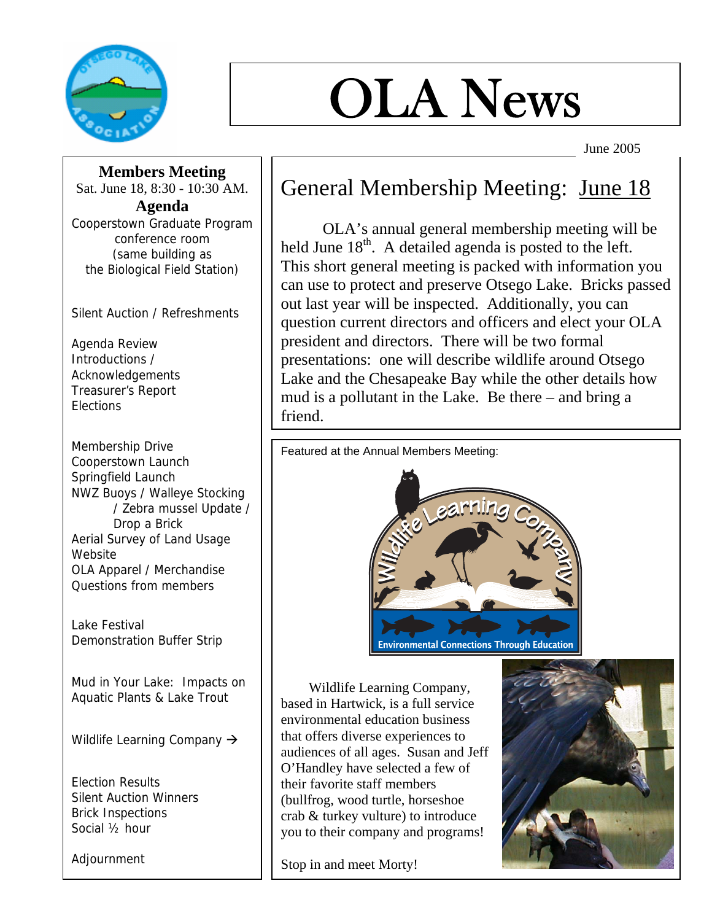

# OLA News

June 2005

**Members Meeting** 

Sat. June 18, 8:30 - 10:30 AM. **Agenda**  Cooperstown Graduate Program conference room (same building as the Biological Field Station)

Silent Auction / Refreshments

Agenda Review Introductions / Acknowledgements Treasurer's Report **Elections** 

Membership Drive Cooperstown Launch Springfield Launch NWZ Buoys / Walleye Stocking / Zebra mussel Update / Drop a Brick Aerial Survey of Land Usage Website OLA Apparel / Merchandise Questions from members

Lake Festival Demonstration Buffer Strip

Mud in Your Lake: Impacts on Aquatic Plants & Lake Trout

Wildlife Learning Company  $\rightarrow$ 

Election Results Silent Auction Winners Brick Inspections Social ½ hour

Adjournment

#### General Membership Meeting: June 18

 OLA's annual general membership meeting will be held June  $18<sup>th</sup>$ . A detailed agenda is posted to the left. This short general meeting is packed with information you can use to protect and preserve Otsego Lake. Bricks passed out last year will be inspected. Additionally, you can question current directors and officers and elect your OLA president and directors. There will be two formal presentations: one will describe wildlife around Otsego Lake and the Chesapeake Bay while the other details how mud is a pollutant in the Lake. Be there – and bring a friend.

Featured at the Annual Members Meeting:



 Wildlife Learning Company, based in Hartwick, is a full service environmental education business that offers diverse experiences to audiences of all ages. Susan and Jeff O'Handley have selected a few of their favorite staff members (bullfrog, wood turtle, horseshoe crab & turkey vulture) to introduce you to their company and programs!

Stop in and meet Morty!

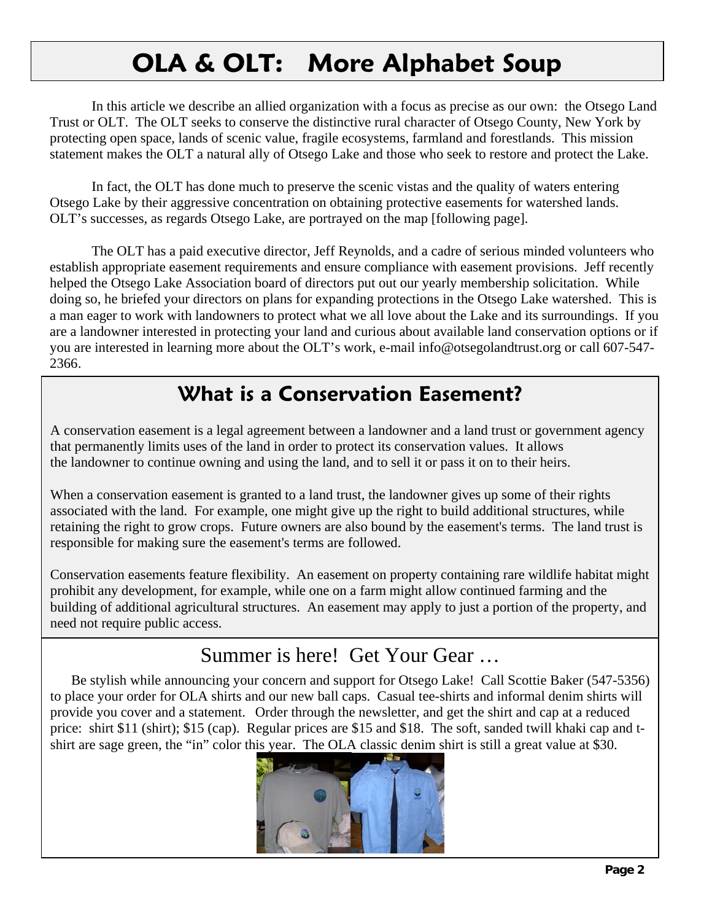## **OLA & OLT: More Alphabet Soup**

In this article we describe an allied organization with a focus as precise as our own: the Otsego Land Trust or OLT. The OLT seeks to conserve the distinctive rural character of Otsego County, New York by protecting open space, lands of scenic value, fragile ecosystems, farmland and forestlands. This mission statement makes the OLT a natural ally of Otsego Lake and those who seek to restore and protect the Lake.

 In fact, the OLT has done much to preserve the scenic vistas and the quality of waters entering Otsego Lake by their aggressive concentration on obtaining protective easements for watershed lands. OLT's successes, as regards Otsego Lake, are portrayed on the map [following page].

 The OLT has a paid executive director, Jeff Reynolds, and a cadre of serious minded volunteers who establish appropriate easement requirements and ensure compliance with easement provisions. Jeff recently helped the Otsego Lake Association board of directors put out our yearly membership solicitation. While doing so, he briefed your directors on plans for expanding protections in the Otsego Lake watershed. This is a man eager to work with landowners to protect what we all love about the Lake and its surroundings. If you are a landowner interested in protecting your land and curious about available land conservation options or if you are interested in learning more about the OLT's work, e-mail info@otsegolandtrust.org or call 607-547- 2366.

### **What is a Conservation Easement?**

A conservation easement is a legal agreement between a landowner and a land trust or government agency that permanently limits uses of the land in order to protect its conservation values. It allows the landowner to continue owning and using the land, and to sell it or pass it on to their heirs.

When a conservation easement is granted to a land trust, the landowner gives up some of their rights associated with the land. For example, one might give up the right to build additional structures, while retaining the right to grow crops. Future owners are also bound by the easement's terms. The land trust is responsible for making sure the easement's terms are followed.

Conservation easements feature flexibility. An easement on property containing rare wildlife habitat might prohibit any development, for example, while one on a farm might allow continued farming and the building of additional agricultural structures. An easement may apply to just a portion of the property, and need not require public access.

#### Summer is here! Get Your Gear …

 Be stylish while announcing your concern and support for Otsego Lake! Call Scottie Baker (547-5356) to place your order for OLA shirts and our new ball caps. Casual tee-shirts and informal denim shirts will provide you cover and a statement. Order through the newsletter, and get the shirt and cap at a reduced price: shirt \$11 (shirt); \$15 (cap). Regular prices are \$15 and \$18. The soft, sanded twill khaki cap and tshirt are sage green, the "in" color this year. The OLA classic denim shirt is still a great value at \$30.

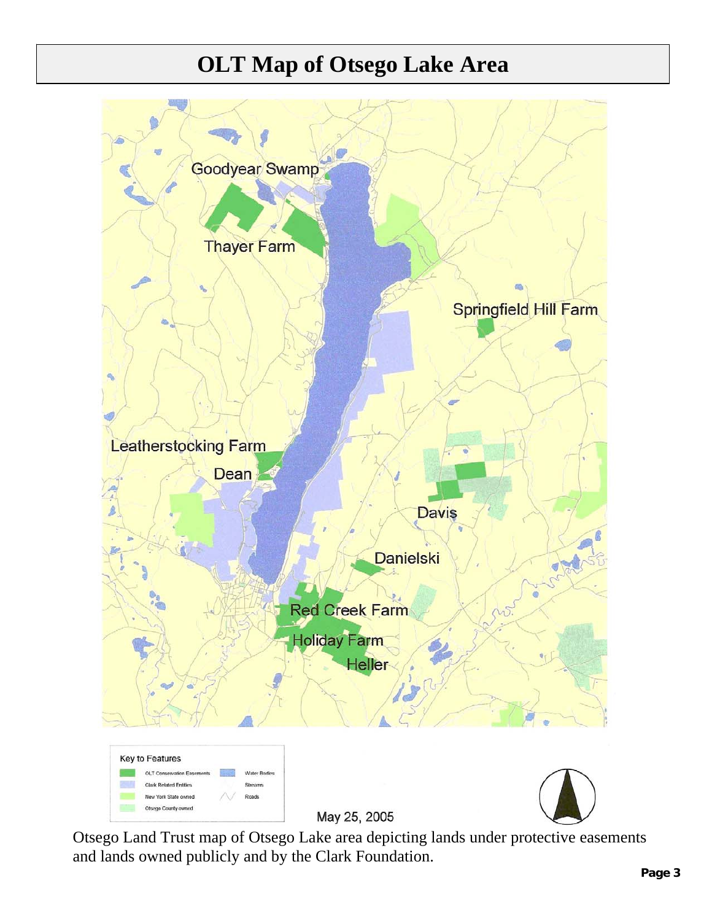## - **OLT Map of Otsego Lake Area**



Otsego Land Trust map of Otsego Lake area depicting lands under protective easements and lands owned publicly and by the Clark Foundation.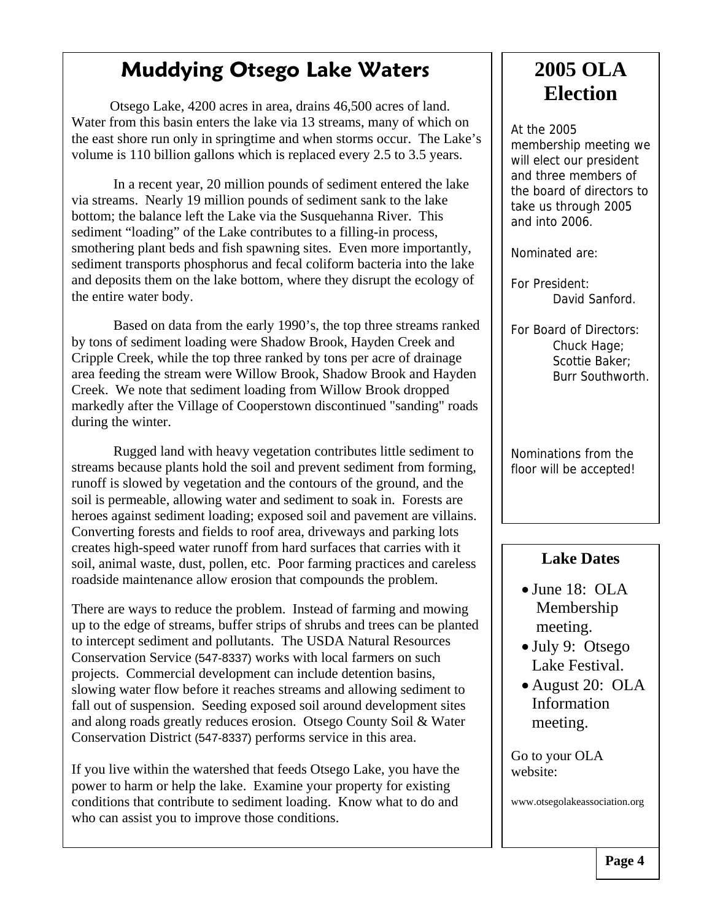#### **Muddying Otsego Lake Waters**

PSheila1 Otsego Lake, 4200 acres in area, drains 46,500 acres of land. Water from this basin enters the lake via 13 streams, many of which on the east shore run only in springtime and when storms occur. The Lake's volume is 110 billion gallons which is replaced every 2.5 to 3.5 years.

In a recent year, 20 million pounds of sediment entered the lake via streams. Nearly 19 million pounds of sediment sank to the lake bottom; the balance left the Lake via the Susquehanna River. This sediment "loading" of the Lake contributes to a filling-in process, smothering plant beds and fish spawning sites. Even more importantly, sediment transports phosphorus and fecal coliform bacteria into the lake and deposits them on the lake bottom, where they disrupt the ecology of the entire water body.

Based on data from the early 1990's, the top three streams ranked by tons of sediment loading were Shadow Brook, Hayden Creek and Cripple Creek, while the top three ranked by tons per acre of drainage area feeding the stream were Willow Brook, Shadow Brook and Hayden Creek. We note that sediment loading from Willow Brook dropped markedly after the Village of Cooperstown discontinued "sanding" roads during the winter.

Rugged land with heavy vegetation contributes little sediment to streams because plants hold the soil and prevent sediment from forming, runoff is slowed by vegetation and the contours of the ground, and the soil is permeable, allowing water and sediment to soak in. Forests are heroes against sediment loading; exposed soil and pavement are villains. Converting forests and fields to roof area, driveways and parking lots creates high-speed water runoff from hard surfaces that carries with it soil, animal waste, dust, pollen, etc. Poor farming practices and careless roadside maintenance allow erosion that compounds the problem.

There are ways to reduce the problem. Instead of farming and mowing up to the edge of streams, buffer strips of shrubs and trees can be planted to intercept sediment and pollutants. The USDA Natural Resources Conservation Service (547-8337) works with local farmers on such projects. Commercial development can include detention basins, slowing water flow before it reaches streams and allowing sediment to fall out of suspension. Seeding exposed soil around development sites and along roads greatly reduces erosion. Otsego County Soil & Water Conservation District (547-8337) performs service in this area.

If you live within the watershed that feeds Otsego Lake, you have the power to harm or help the lake. Examine your property for existing conditions that contribute to sediment loading. Know what to do and who can assist you to improve those conditions.

#### **2005 OLA Election**

At the 2005 membership meeting we will elect our president and three members of the board of directors to take us through 2005 and into 2006.

Nominated are:

For President: David Sanford.

For Board of Directors: Chuck Hage; Scottie Baker; Burr Southworth.

Nominations from the floor will be accepted!

#### **Lake Dates**

- June 18: OLA Membership meeting.
- July 9: Otsego Lake Festival.
- August 20: OLA Information meeting.

Go to your OLA website:

www.otsegolakeassociation.org